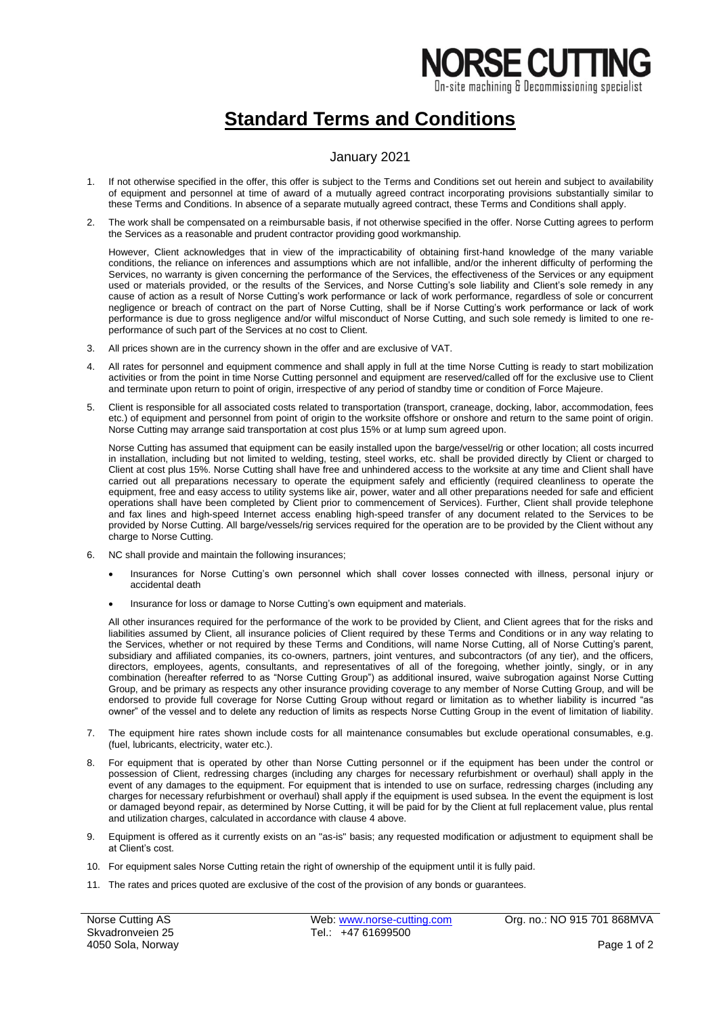## **NORSE CUTTIN** On-site machining & Decommissioning specialist

## **Standard Terms and Conditions**

## January 2021

- 1. If not otherwise specified in the offer, this offer is subject to the Terms and Conditions set out herein and subject to availability of equipment and personnel at time of award of a mutually agreed contract incorporating provisions substantially similar to these Terms and Conditions. In absence of a separate mutually agreed contract, these Terms and Conditions shall apply.
- 2. The work shall be compensated on a reimbursable basis, if not otherwise specified in the offer. Norse Cutting agrees to perform the Services as a reasonable and prudent contractor providing good workmanship.

However, Client acknowledges that in view of the impracticability of obtaining first-hand knowledge of the many variable conditions, the reliance on inferences and assumptions which are not infallible, and/or the inherent difficulty of performing the Services, no warranty is given concerning the performance of the Services, the effectiveness of the Services or any equipment used or materials provided, or the results of the Services, and Norse Cutting's sole liability and Client's sole remedy in any cause of action as a result of Norse Cutting's work performance or lack of work performance, regardless of sole or concurrent negligence or breach of contract on the part of Norse Cutting, shall be if Norse Cutting's work performance or lack of work performance is due to gross negligence and/or wilful misconduct of Norse Cutting, and such sole remedy is limited to one reperformance of such part of the Services at no cost to Client.

- All prices shown are in the currency shown in the offer and are exclusive of VAT.
- 4. All rates for personnel and equipment commence and shall apply in full at the time Norse Cutting is ready to start mobilization activities or from the point in time Norse Cutting personnel and equipment are reserved/called off for the exclusive use to Client and terminate upon return to point of origin, irrespective of any period of standby time or condition of Force Majeure.
- 5. Client is responsible for all associated costs related to transportation (transport, craneage, docking, labor, accommodation, fees etc.) of equipment and personnel from point of origin to the worksite offshore or onshore and return to the same point of origin. Norse Cutting may arrange said transportation at cost plus 15% or at lump sum agreed upon.

Norse Cutting has assumed that equipment can be easily installed upon the barge/vessel/rig or other location; all costs incurred in installation, including but not limited to welding, testing, steel works, etc. shall be provided directly by Client or charged to Client at cost plus 15%. Norse Cutting shall have free and unhindered access to the worksite at any time and Client shall have carried out all preparations necessary to operate the equipment safely and efficiently (required cleanliness to operate the equipment, free and easy access to utility systems like air, power, water and all other preparations needed for safe and efficient operations shall have been completed by Client prior to commencement of Services). Further, Client shall provide telephone and fax lines and high-speed Internet access enabling high-speed transfer of any document related to the Services to be provided by Norse Cutting. All barge/vessels/rig services required for the operation are to be provided by the Client without any charge to Norse Cutting.

- 6. NC shall provide and maintain the following insurances;
	- Insurances for Norse Cutting's own personnel which shall cover losses connected with illness, personal injury or accidental death
	- Insurance for loss or damage to Norse Cutting's own equipment and materials.

All other insurances required for the performance of the work to be provided by Client, and Client agrees that for the risks and liabilities assumed by Client, all insurance policies of Client required by these Terms and Conditions or in any way relating to the Services, whether or not required by these Terms and Conditions, will name Norse Cutting, all of Norse Cutting's parent, subsidiary and affiliated companies, its co-owners, partners, joint ventures, and subcontractors (of any tier), and the officers, directors, employees, agents, consultants, and representatives of all of the foregoing, whether jointly, singly, or in any combination (hereafter referred to as "Norse Cutting Group") as additional insured, waive subrogation against Norse Cutting Group, and be primary as respects any other insurance providing coverage to any member of Norse Cutting Group, and will be endorsed to provide full coverage for Norse Cutting Group without regard or limitation as to whether liability is incurred "as owner" of the vessel and to delete any reduction of limits as respects Norse Cutting Group in the event of limitation of liability.

- 7. The equipment hire rates shown include costs for all maintenance consumables but exclude operational consumables, e.g. (fuel, lubricants, electricity, water etc.).
- 8. For equipment that is operated by other than Norse Cutting personnel or if the equipment has been under the control or possession of Client, redressing charges (including any charges for necessary refurbishment or overhaul) shall apply in the event of any damages to the equipment. For equipment that is intended to use on surface, redressing charges (including any charges for necessary refurbishment or overhaul) shall apply if the equipment is used subsea. In the event the equipment is lost or damaged beyond repair, as determined by Norse Cutting, it will be paid for by the Client at full replacement value, plus rental and utilization charges, calculated in accordance with clause 4 above.
- 9. Equipment is offered as it currently exists on an "as-is" basis; any requested modification or adjustment to equipment shall be at Client's cost.
- 10. For equipment sales Norse Cutting retain the right of ownership of the equipment until it is fully paid.
- 11. The rates and prices quoted are exclusive of the cost of the provision of any bonds or guarantees.